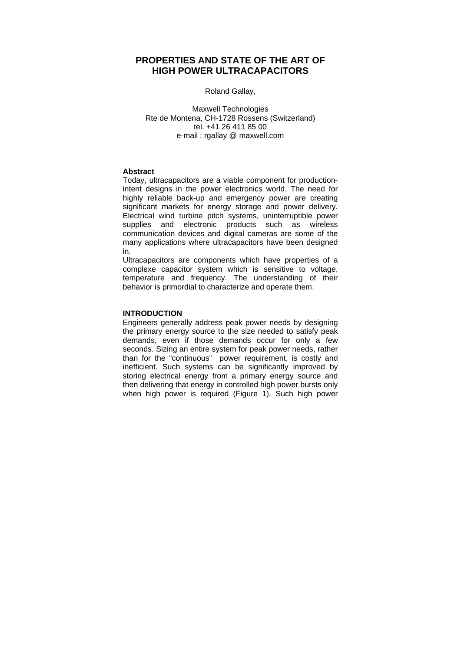# **PROPERTIES AND STATE OF THE ART OF HIGH POWER ULTRACAPACITORS**

## Roland Gallay,

Maxwell Technologies Rte de Montena, CH-1728 Rossens (Switzerland) tel. +41 26 411 85 00 e-mail : rgallay @ maxwell.com

## **Abstract**

Today, ultracapacitors are a viable component for productionintent designs in the power electronics world. The need for highly reliable back-up and emergency power are creating significant markets for energy storage and power delivery. Electrical wind turbine pitch systems, uninterruptible power supplies and electronic products such as wireless communication devices and digital cameras are some of the many applications where ultracapacitors have been designed in.

Ultracapacitors are components which have properties of a complexe capacitor system which is sensitive to voltage, temperature and frequency. The understanding of their behavior is primordial to characterize and operate them.

# **INTRODUCTION**

Engineers generally address peak power needs by designing the primary energy source to the size needed to satisfy peak demands, even if those demands occur for only a few seconds. Sizing an entire system for peak power needs, rather than for the "continuous" power requirement, is costly and inefficient. Such systems can be significantly improved by storing electrical energy from a primary energy source and then delivering that energy in controlled high power bursts only when high power is required (Figure 1). Such high power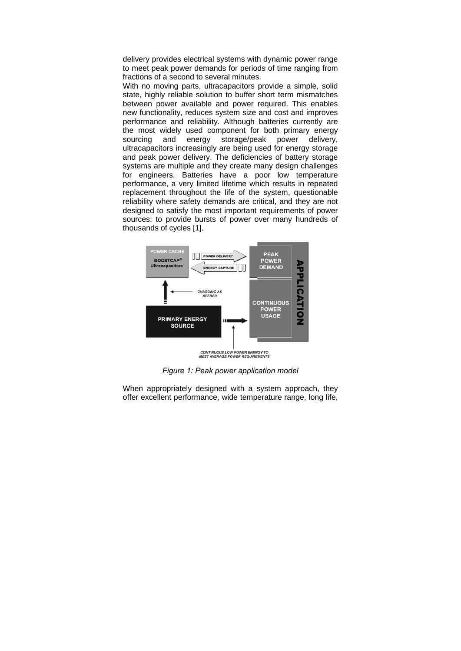delivery provides electrical systems with dynamic power range to meet peak power demands for periods of time ranging from fractions of a second to several minutes.

With no moving parts, ultracapacitors provide a simple, solid state, highly reliable solution to buffer short term mismatches between power available and power required. This enables new functionality, reduces system size and cost and improves performance and reliability. Although batteries currently are the most widely used component for both primary energy sourcing and energy storage/peak power delivery, ultracapacitors increasingly are being used for energy storage and peak power delivery. The deficiencies of battery storage systems are multiple and they create many design challenges for engineers. Batteries have a poor low temperature performance, a very limited lifetime which results in repeated replacement throughout the life of the system, questionable reliability where safety demands are critical, and they are not designed to satisfy the most important requirements of power sources: to provide bursts of power over many hundreds of thousands of cycles [1].



*Figure 1: Peak power application model* 

When appropriately designed with a system approach, they offer excellent performance, wide temperature range, long life,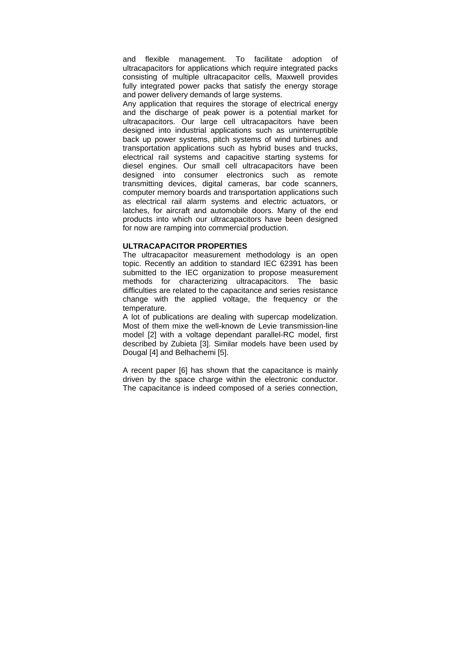and flexible management. To facilitate adoption of ultracapacitors for applications which require integrated packs consisting of multiple ultracapacitor cells, Maxwell provides fully integrated power packs that satisfy the energy storage and power delivery demands of large systems.

Any application that requires the storage of electrical energy and the discharge of peak power is a potential market for ultracapacitors. Our large cell ultracapacitors have been designed into industrial applications such as uninterruptible back up power systems, pitch systems of wind turbines and transportation applications such as hybrid buses and trucks, electrical rail systems and capacitive starting systems for diesel engines. Our small cell ultracapacitors have been designed into consumer electronics such as remote transmitting devices, digital cameras, bar code scanners, computer memory boards and transportation applications such as electrical rail alarm systems and electric actuators, or latches, for aircraft and automobile doors. Many of the end products into which our ultracapacitors have been designed for now are ramping into commercial production.

#### **ULTRACAPACITOR PROPERTIES**

The ultracapacitor measurement methodology is an open topic. Recently an addition to standard IEC 62391 has been submitted to the IEC organization to propose measurement methods for characterizing ultracapacitors. The basic difficulties are related to the capacitance and series resistance change with the applied voltage, the frequency or the temperature.

A lot of publications are dealing with supercap modelization. Most of them mixe the well-known de Levie transmission-line model [2] with a voltage dependant parallel-RC model, first described by Zubieta [3]. Similar models have been used by Dougal [4] and Belhachemi [5].

A recent paper [6] has shown that the capacitance is mainly driven by the space charge within the electronic conductor. The capacitance is indeed composed of a series connection,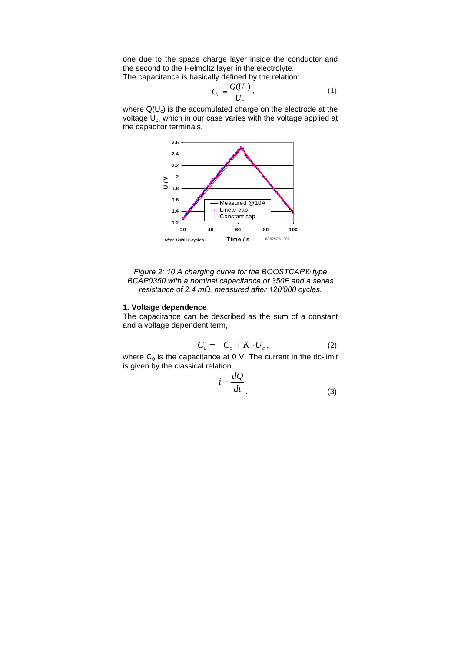one due to the space charge layer inside the conductor and the second to the Helmoltz layer in the electrolyte.

The capacitance is basically defined by the relation:

$$
C_u = \frac{Q(U_c)}{U_c},\tag{1}
$$

where  $Q(U_c)$  is the accumulated charge on the electrode at the voltage  $U_c$ , which in our case varies with the voltage applied at the capacitor terminals.



*Figure 2: 10 A charging curve for the BOOSTCAP® type BCAP0350 with a nominal capacitance of 350F and a series resistance of 2.4 mΩ, measured after 120'000 cycles.*

#### **1. Voltage dependence**

The capacitance can be described as the sum of a constant and a voltage dependent term,

$$
C_u = C_o + K \cdot U_c, \qquad (2)
$$

where  $C_0$  is the capacitance at 0 V. The current in the dc-limit is given by the classical relation

$$
i = \frac{dQ}{dt}
$$
 (3)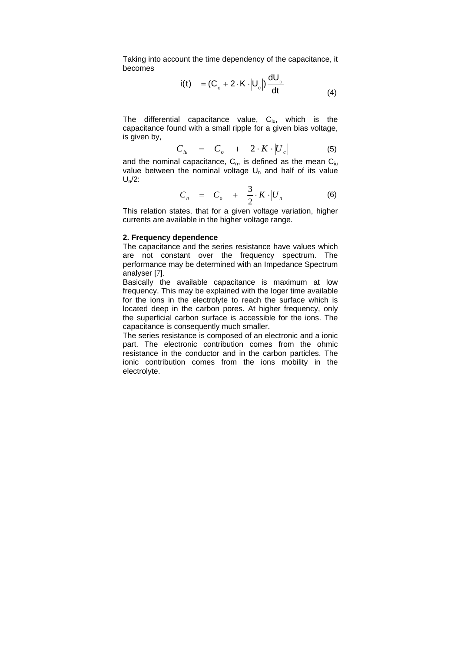Taking into account the time dependency of the capacitance, it becomes

$$
i(t) = (C_o + 2 \cdot K \cdot |U_c|) \frac{dU_c}{dt}
$$
\n(4)

The differential capacitance value,  $C_{i\omega}$ , which is the capacitance found with a small ripple for a given bias voltage, is given by,

$$
C_{iu} = C_o + 2 \cdot K \cdot |U_c| \qquad (5)
$$

and the nominal capacitance,  $C_n$ , is defined as the mean  $C_{i\mu}$ value between the nominal voltage  $U_n$  and half of its value  $U_n/2$ :

$$
C_n = C_o + \frac{3}{2} \cdot K \cdot |U_n| \tag{6}
$$

This relation states, that for a given voltage variation, higher currents are available in the higher voltage range.

#### **2. Frequency dependence**

The capacitance and the series resistance have values which are not constant over the frequency spectrum. The performance may be determined with an Impedance Spectrum analyser [7].

Basically the available capacitance is maximum at low frequency. This may be explained with the loger time available for the ions in the electrolyte to reach the surface which is located deep in the carbon pores. At higher frequency, only the superficial carbon surface is accessible for the ions. The capacitance is consequently much smaller.

The series resistance is composed of an electronic and a ionic part. The electronic contribution comes from the ohmic resistance in the conductor and in the carbon particles. The ionic contribution comes from the ions mobility in the electrolyte.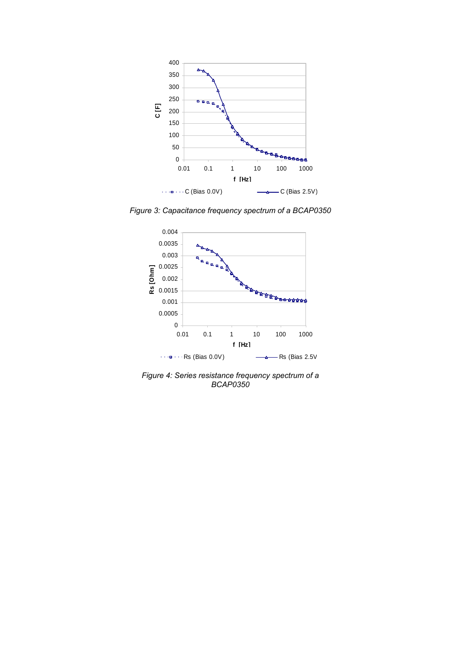

*Figure 3: Capacitance frequency spectrum of a BCAP0350* 



*Figure 4: Series resistance frequency spectrum of a BCAP0350*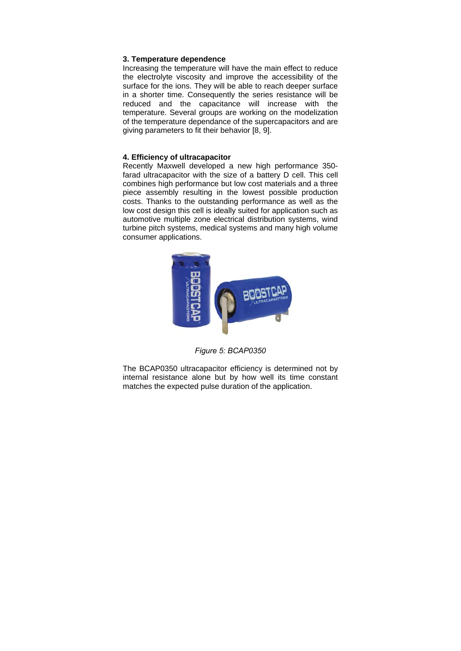## **3. Temperature dependence**

Increasing the temperature will have the main effect to reduce the electrolyte viscosity and improve the accessibility of the surface for the ions. They will be able to reach deeper surface in a shorter time. Consequently the series resistance will be reduced and the capacitance will increase with the temperature. Several groups are working on the modelization of the temperature dependance of the supercapacitors and are giving parameters to fit their behavior [8, 9].

# **4. Efficiency of ultracapacitor**

Recently Maxwell developed a new high performance 350 farad ultracapacitor with the size of a battery D cell. This cell combines high performance but low cost materials and a three piece assembly resulting in the lowest possible production costs. Thanks to the outstanding performance as well as the low cost design this cell is ideally suited for application such as automotive multiple zone electrical distribution systems, wind turbine pitch systems, medical systems and many high volume consumer applications.



*Figure 5: BCAP0350* 

The BCAP0350 ultracapacitor efficiency is determined not by internal resistance alone but by how well its time constant matches the expected pulse duration of the application.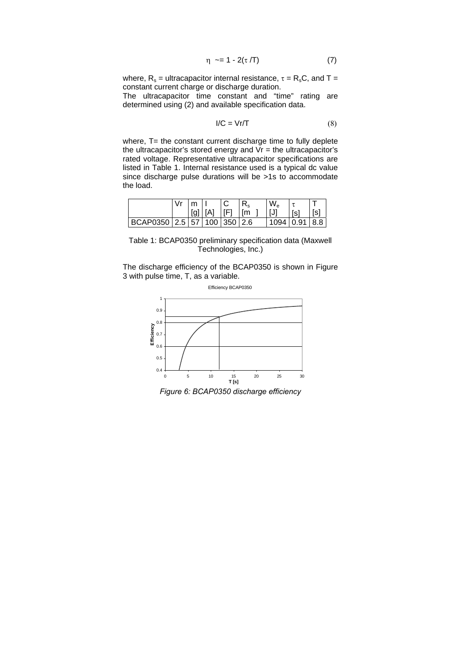$$
\eta \sim = 1 - 2(\tau/T) \tag{7}
$$

where,  $R_s$  = ultracapacitor internal resistance,  $\tau = R_sC$ , and T = constant current charge or discharge duration.

The ultracapacitor time constant and "time" rating are determined using (2) and available specification data.

$$
I/C = Vr/T
$$
 (8)

where, T= the constant current discharge time to fully deplete the ultracapacitor's stored energy and  $Vr =$  the ultracapacitor's rated voltage. Representative ultracapacitor specifications are listed in Table 1. Internal resistance used is a typical dc value since discharge pulse durations will be >1s to accommodate the load.

|                                       | Vr | $\mathsf{Im} \mathsf{H}$ |                  |  | $W_{\rm e}$   |       |             |
|---------------------------------------|----|--------------------------|------------------|--|---------------|-------|-------------|
|                                       |    |                          | [g] [A]  [F]  [m |  | [J]           | l [s] | $\vert$ [s] |
| BCAP0350   2.5   57   100   350   2.6 |    |                          |                  |  | 1094 0.91 8.8 |       |             |

Table 1: BCAP0350 preliminary specification data (Maxwell Technologies, Inc.)

The discharge efficiency of the BCAP0350 is shown in Figure 3 with pulse time, T, as a variable.



*Figure 6: BCAP0350 discharge efficiency*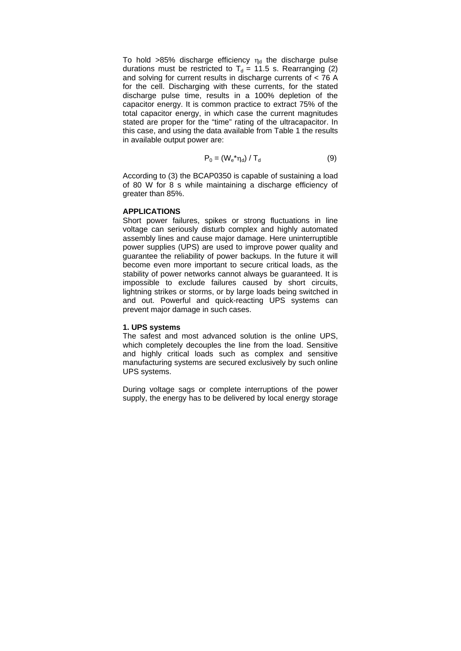To hold >85% discharge efficiency  $\eta_d$  the discharge pulse durations must be restricted to  $T<sub>d</sub> = 11.5$  s. Rearranging (2) and solving for current results in discharge currents of < 76 A for the cell. Discharging with these currents, for the stated discharge pulse time, results in a 100% depletion of the capacitor energy. It is common practice to extract 75% of the total capacitor energy, in which case the current magnitudes stated are proper for the "time" rating of the ultracapacitor. In this case, and using the data available from Table 1 the results in available output power are:

$$
P_0 = (W_e^* \eta_d) / T_d \tag{9}
$$

According to (3) the BCAP0350 is capable of sustaining a load of 80 W for 8 s while maintaining a discharge efficiency of greater than 85%.

## **APPLICATIONS**

Short power failures, spikes or strong fluctuations in line voltage can seriously disturb complex and highly automated assembly lines and cause major damage. Here uninterruptible power supplies (UPS) are used to improve power quality and guarantee the reliability of power backups. In the future it will become even more important to secure critical loads, as the stability of power networks cannot always be guaranteed. It is impossible to exclude failures caused by short circuits, lightning strikes or storms, or by large loads being switched in and out. Powerful and quick-reacting UPS systems can prevent major damage in such cases.

## **1. UPS systems**

The safest and most advanced solution is the online UPS, which completely decouples the line from the load. Sensitive and highly critical loads such as complex and sensitive manufacturing systems are secured exclusively by such online UPS systems.

During voltage sags or complete interruptions of the power supply, the energy has to be delivered by local energy storage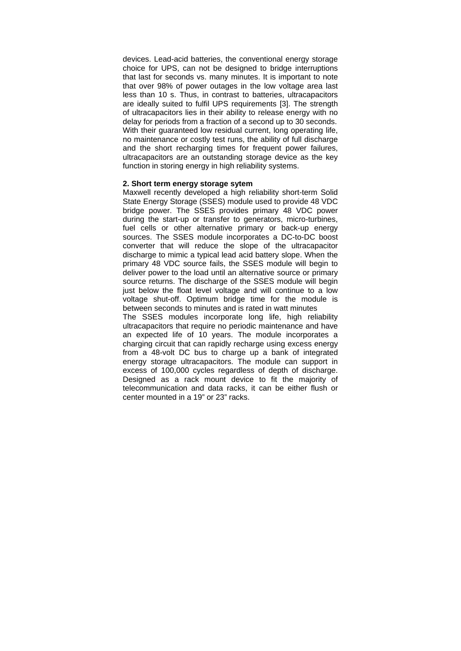devices. Lead-acid batteries, the conventional energy storage choice for UPS, can not be designed to bridge interruptions that last for seconds vs. many minutes. It is important to note that over 98% of power outages in the low voltage area last less than 10 s. Thus, in contrast to batteries, ultracapacitors are ideally suited to fulfil UPS requirements [3]. The strength of ultracapacitors lies in their ability to release energy with no delay for periods from a fraction of a second up to 30 seconds. With their guaranteed low residual current, long operating life, no maintenance or costly test runs, the ability of full discharge and the short recharging times for frequent power failures, ultracapacitors are an outstanding storage device as the key function in storing energy in high reliability systems.

#### **2. Short term energy storage sytem**

Maxwell recently developed a high reliability short-term Solid State Energy Storage (SSES) module used to provide 48 VDC bridge power. The SSES provides primary 48 VDC power during the start-up or transfer to generators, micro-turbines, fuel cells or other alternative primary or back-up energy sources. The SSES module incorporates a DC-to-DC boost converter that will reduce the slope of the ultracapacitor discharge to mimic a typical lead acid battery slope. When the primary 48 VDC source fails, the SSES module will begin to deliver power to the load until an alternative source or primary source returns. The discharge of the SSES module will begin just below the float level voltage and will continue to a low voltage shut-off. Optimum bridge time for the module is between seconds to minutes and is rated in watt minutes

The SSES modules incorporate long life, high reliability ultracapacitors that require no periodic maintenance and have an expected life of 10 years. The module incorporates a charging circuit that can rapidly recharge using excess energy from a 48-volt DC bus to charge up a bank of integrated energy storage ultracapacitors. The module can support in excess of 100,000 cycles regardless of depth of discharge. Designed as a rack mount device to fit the majority of telecommunication and data racks, it can be either flush or center mounted in a 19" or 23" racks.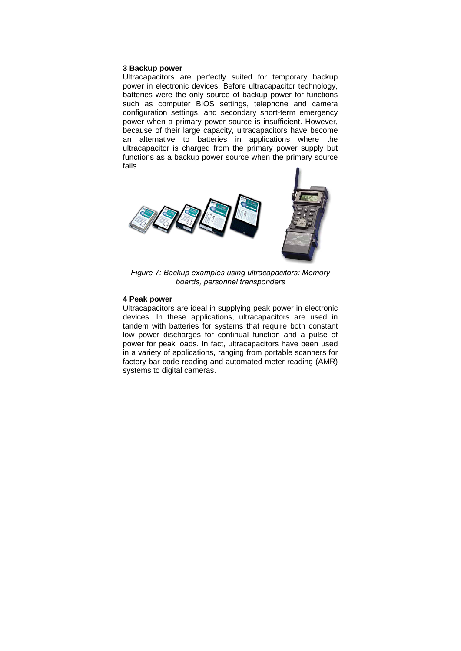#### **3 Backup power**

Ultracapacitors are perfectly suited for temporary backup power in electronic devices. Before ultracapacitor technology, batteries were the only source of backup power for functions such as computer BIOS settings, telephone and camera configuration settings, and secondary short-term emergency power when a primary power source is insufficient. However, because of their large capacity, ultracapacitors have become an alternative to batteries in applications where the ultracapacitor is charged from the primary power supply but functions as a backup power source when the primary source fails.



*Figure 7: Backup examples using ultracapacitors: Memory boards, personnel transponders* 

# **4 Peak power**

Ultracapacitors are ideal in supplying peak power in electronic devices. In these applications, ultracapacitors are used in tandem with batteries for systems that require both constant low power discharges for continual function and a pulse of power for peak loads. In fact, ultracapacitors have been used in a variety of applications, ranging from portable scanners for factory bar-code reading and automated meter reading (AMR) systems to digital cameras.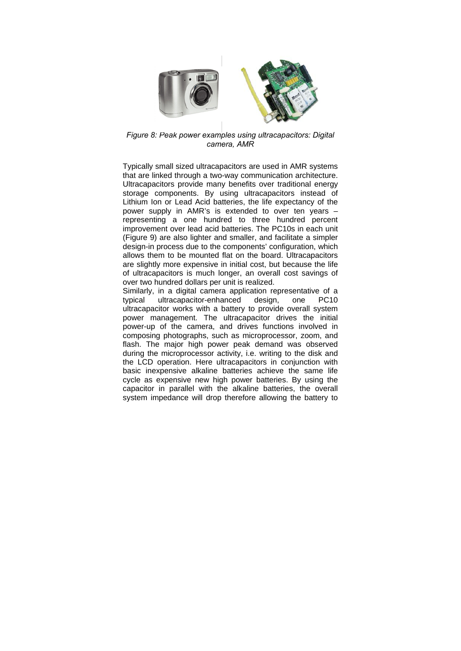

*Figure 8: Peak power examples using ultracapacitors: Digital camera, AMR* 

Typically small sized ultracapacitors are used in AMR systems that are linked through a two-way communication architecture. Ultracapacitors provide many benefits over traditional energy storage components. By using ultracapacitors instead of Lithium Ion or Lead Acid batteries, the life expectancy of the power supply in AMR's is extended to over ten years – representing a one hundred to three hundred percent improvement over lead acid batteries. The PC10s in each unit (Figure 9) are also lighter and smaller, and facilitate a simpler design-in process due to the components' configuration, which allows them to be mounted flat on the board. Ultracapacitors are slightly more expensive in initial cost, but because the life of ultracapacitors is much longer, an overall cost savings of over two hundred dollars per unit is realized.

Similarly, in a digital camera application representative of a typical ultracapacitor-enhanced design, one PC10 ultracapacitor works with a battery to provide overall system power management. The ultracapacitor drives the initial power-up of the camera, and drives functions involved in composing photographs, such as microprocessor, zoom, and flash. The major high power peak demand was observed during the microprocessor activity, i.e. writing to the disk and the LCD operation. Here ultracapacitors in conjunction with basic inexpensive alkaline batteries achieve the same life cycle as expensive new high power batteries. By using the capacitor in parallel with the alkaline batteries, the overall system impedance will drop therefore allowing the battery to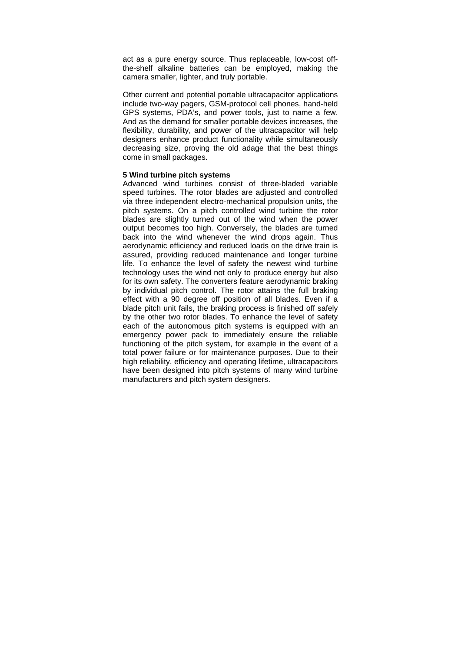act as a pure energy source. Thus replaceable, low-cost offthe-shelf alkaline batteries can be employed, making the camera smaller, lighter, and truly portable.

Other current and potential portable ultracapacitor applications include two-way pagers, GSM-protocol cell phones, hand-held GPS systems, PDA's, and power tools, just to name a few. And as the demand for smaller portable devices increases, the flexibility, durability, and power of the ultracapacitor will help designers enhance product functionality while simultaneously decreasing size, proving the old adage that the best things come in small packages.

## **5 Wind turbine pitch systems**

Advanced wind turbines consist of three-bladed variable speed turbines. The rotor blades are adjusted and controlled via three independent electro-mechanical propulsion units, the pitch systems. On a pitch controlled wind turbine the rotor blades are slightly turned out of the wind when the power output becomes too high. Conversely, the blades are turned back into the wind whenever the wind drops again. Thus aerodynamic efficiency and reduced loads on the drive train is assured, providing reduced maintenance and longer turbine life. To enhance the level of safety the newest wind turbine technology uses the wind not only to produce energy but also for its own safety. The converters feature aerodynamic braking by individual pitch control. The rotor attains the full braking effect with a 90 degree off position of all blades. Even if a blade pitch unit fails, the braking process is finished off safely by the other two rotor blades. To enhance the level of safety each of the autonomous pitch systems is equipped with an emergency power pack to immediately ensure the reliable functioning of the pitch system, for example in the event of a total power failure or for maintenance purposes. Due to their high reliability, efficiency and operating lifetime, ultracapacitors have been designed into pitch systems of many wind turbine manufacturers and pitch system designers.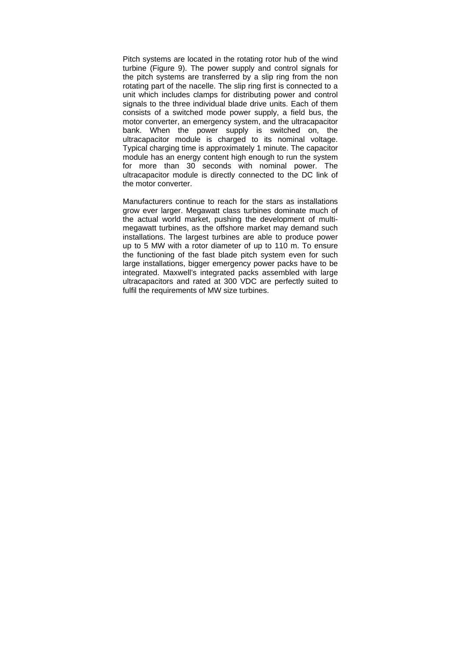Pitch systems are located in the rotating rotor hub of the wind turbine (Figure 9). The power supply and control signals for the pitch systems are transferred by a slip ring from the non rotating part of the nacelle. The slip ring first is connected to a unit which includes clamps for distributing power and control signals to the three individual blade drive units. Each of them consists of a switched mode power supply, a field bus, the motor converter, an emergency system, and the ultracapacitor bank. When the power supply is switched on, the ultracapacitor module is charged to its nominal voltage. Typical charging time is approximately 1 minute. The capacitor module has an energy content high enough to run the system for more than 30 seconds with nominal power. The ultracapacitor module is directly connected to the DC link of the motor converter.

Manufacturers continue to reach for the stars as installations grow ever larger. Megawatt class turbines dominate much of the actual world market, pushing the development of multimegawatt turbines, as the offshore market may demand such installations. The largest turbines are able to produce power up to 5 MW with a rotor diameter of up to 110 m. To ensure the functioning of the fast blade pitch system even for such large installations, bigger emergency power packs have to be integrated. Maxwell's integrated packs assembled with large ultracapacitors and rated at 300 VDC are perfectly suited to fulfil the requirements of MW size turbines.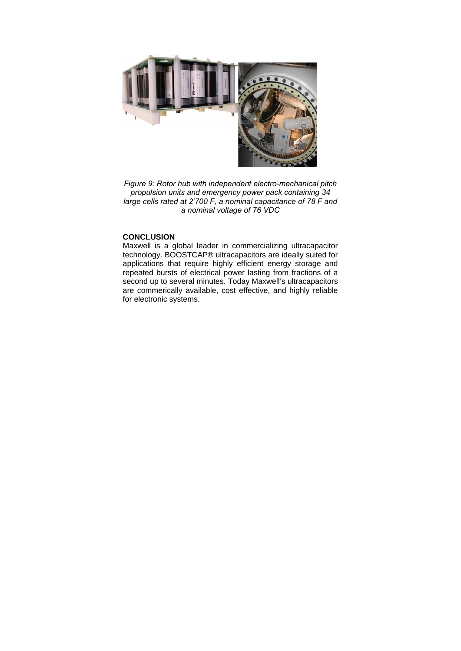

*Figure 9: Rotor hub with independent electro-mechanical pitch propulsion units and emergency power pack containing 34 large cells rated at 2'700 F, a nominal capacitance of 78 F and a nominal voltage of 76 VDC* 

# **CONCLUSION**

Maxwell is a global leader in commercializing ultracapacitor technology. BOOSTCAP® ultracapacitors are ideally suited for applications that require highly efficient energy storage and repeated bursts of electrical power lasting from fractions of a second up to several minutes. Today Maxwell's ultracapacitors are commerically available, cost effective, and highly reliable for electronic systems.